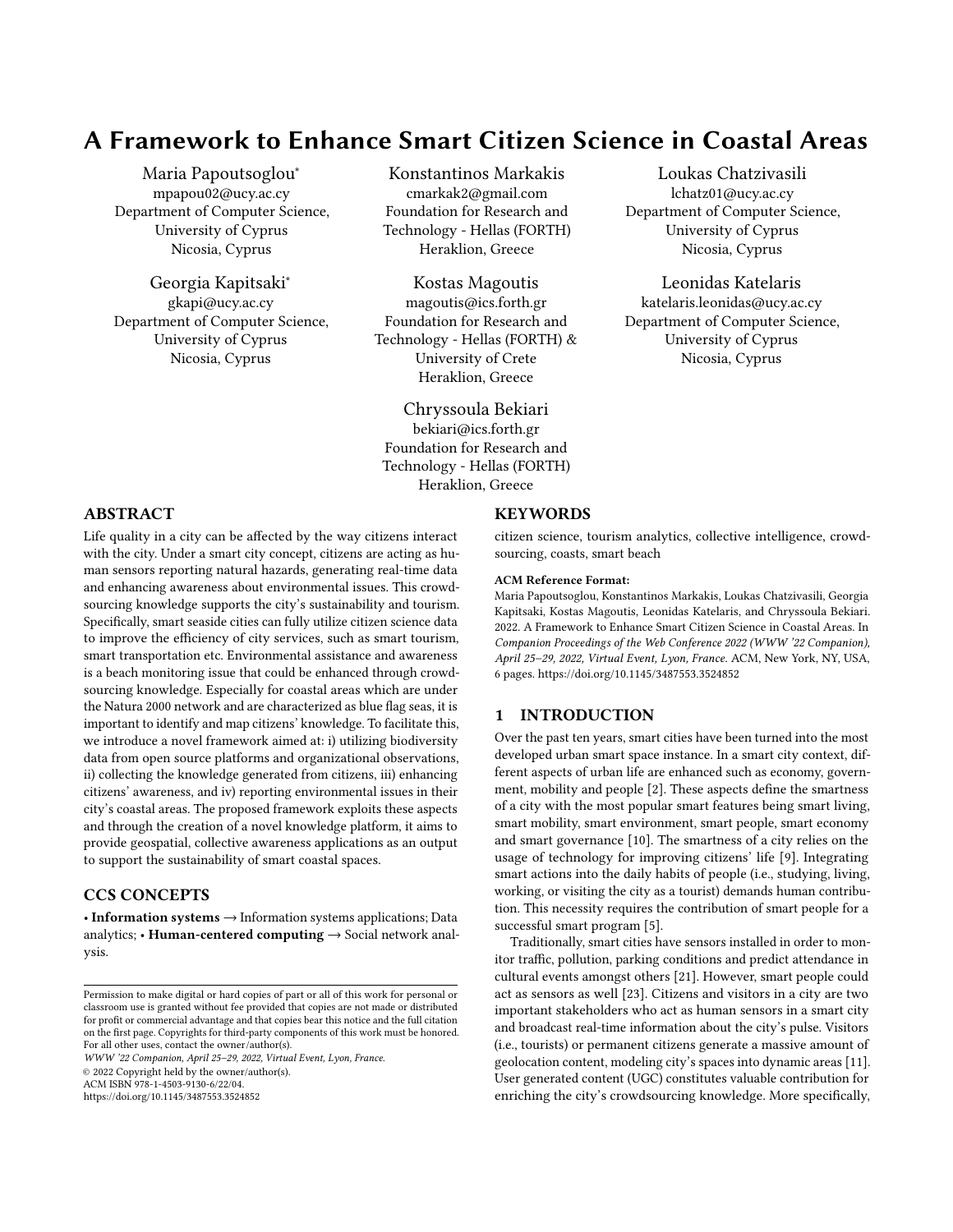# A Framework to Enhance Smart Citizen Science in Coastal Areas

Maria Papoutsoglou<sup>∗</sup> mpapou02@ucy.ac.cy Department of Computer Science, University of Cyprus Nicosia, Cyprus

Georgia Kapitsaki<sup>∗</sup> gkapi@ucy.ac.cy Department of Computer Science, University of Cyprus Nicosia, Cyprus

#### Konstantinos Markakis

cmarkak2@gmail.com Foundation for Research and Technology - Hellas (FORTH) Heraklion, Greece

Kostas Magoutis magoutis@ics.forth.gr Foundation for Research and Technology - Hellas (FORTH) & University of Crete Heraklion, Greece

> Chryssoula Bekiari bekiari@ics.forth.gr

Foundation for Research and Technology - Hellas (FORTH) Heraklion, Greece

Loukas Chatzivasili lchatz01@ucy.ac.cy Department of Computer Science, University of Cyprus Nicosia, Cyprus

Leonidas Katelaris katelaris.leonidas@ucy.ac.cy Department of Computer Science, University of Cyprus Nicosia, Cyprus

# ABSTRACT

Life quality in a city can be affected by the way citizens interact with the city. Under a smart city concept, citizens are acting as human sensors reporting natural hazards, generating real-time data and enhancing awareness about environmental issues. This crowdsourcing knowledge supports the city's sustainability and tourism. Specifically, smart seaside cities can fully utilize citizen science data to improve the efficiency of city services, such as smart tourism, smart transportation etc. Environmental assistance and awareness is a beach monitoring issue that could be enhanced through crowdsourcing knowledge. Especially for coastal areas which are under the Natura 2000 network and are characterized as blue flag seas, it is important to identify and map citizens' knowledge. To facilitate this, we introduce a novel framework aimed at: i) utilizing biodiversity data from open source platforms and organizational observations, ii) collecting the knowledge generated from citizens, iii) enhancing citizens' awareness, and iv) reporting environmental issues in their city's coastal areas. The proposed framework exploits these aspects and through the creation of a novel knowledge platform, it aims to provide geospatial, collective awareness applications as an output to support the sustainability of smart coastal spaces.

## CCS CONCEPTS

• Information systems → Information systems applications; Data analytics; • Human-centered computing  $\rightarrow$  Social network analysis.

WWW '22 Companion, April 25–29, 2022, Virtual Event, Lyon, France.

© 2022 Copyright held by the owner/author(s).

ACM ISBN 978-1-4503-9130-6/22/04.

<https://doi.org/10.1145/3487553.3524852>

# **KEYWORDS**

citizen science, tourism analytics, collective intelligence, crowdsourcing, coasts, smart beach

#### ACM Reference Format:

Maria Papoutsoglou, Konstantinos Markakis, Loukas Chatzivasili, Georgia Kapitsaki, Kostas Magoutis, Leonidas Katelaris, and Chryssoula Bekiari. 2022. A Framework to Enhance Smart Citizen Science in Coastal Areas. In Companion Proceedings of the Web Conference 2022 (WWW '22 Companion), April 25–29, 2022, Virtual Event, Lyon, France. ACM, New York, NY, USA, [6](#page-5-0) pages.<https://doi.org/10.1145/3487553.3524852>

# 1 INTRODUCTION

Over the past ten years, smart cities have been turned into the most developed urban smart space instance. In a smart city context, different aspects of urban life are enhanced such as economy, government, mobility and people [\[2\]](#page-4-0). These aspects define the smartness of a city with the most popular smart features being smart living, smart mobility, smart environment, smart people, smart economy and smart governance [\[10\]](#page-5-1). The smartness of a city relies on the usage of technology for improving citizens' life [\[9\]](#page-5-2). Integrating smart actions into the daily habits of people (i.e., studying, living, working, or visiting the city as a tourist) demands human contribution. This necessity requires the contribution of smart people for a successful smart program [\[5\]](#page-4-1).

Traditionally, smart cities have sensors installed in order to monitor traffic, pollution, parking conditions and predict attendance in cultural events amongst others [\[21\]](#page-5-3). However, smart people could act as sensors as well [\[23\]](#page-5-4). Citizens and visitors in a city are two important stakeholders who act as human sensors in a smart city and broadcast real-time information about the city's pulse. Visitors (i.e., tourists) or permanent citizens generate a massive amount of geolocation content, modeling city's spaces into dynamic areas [\[11\]](#page-5-5). User generated content (UGC) constitutes valuable contribution for enriching the city's crowdsourcing knowledge. More specifically,

Permission to make digital or hard copies of part or all of this work for personal or classroom use is granted without fee provided that copies are not made or distributed for profit or commercial advantage and that copies bear this notice and the full citation on the first page. Copyrights for third-party components of this work must be honored. For all other uses, contact the owner/author(s).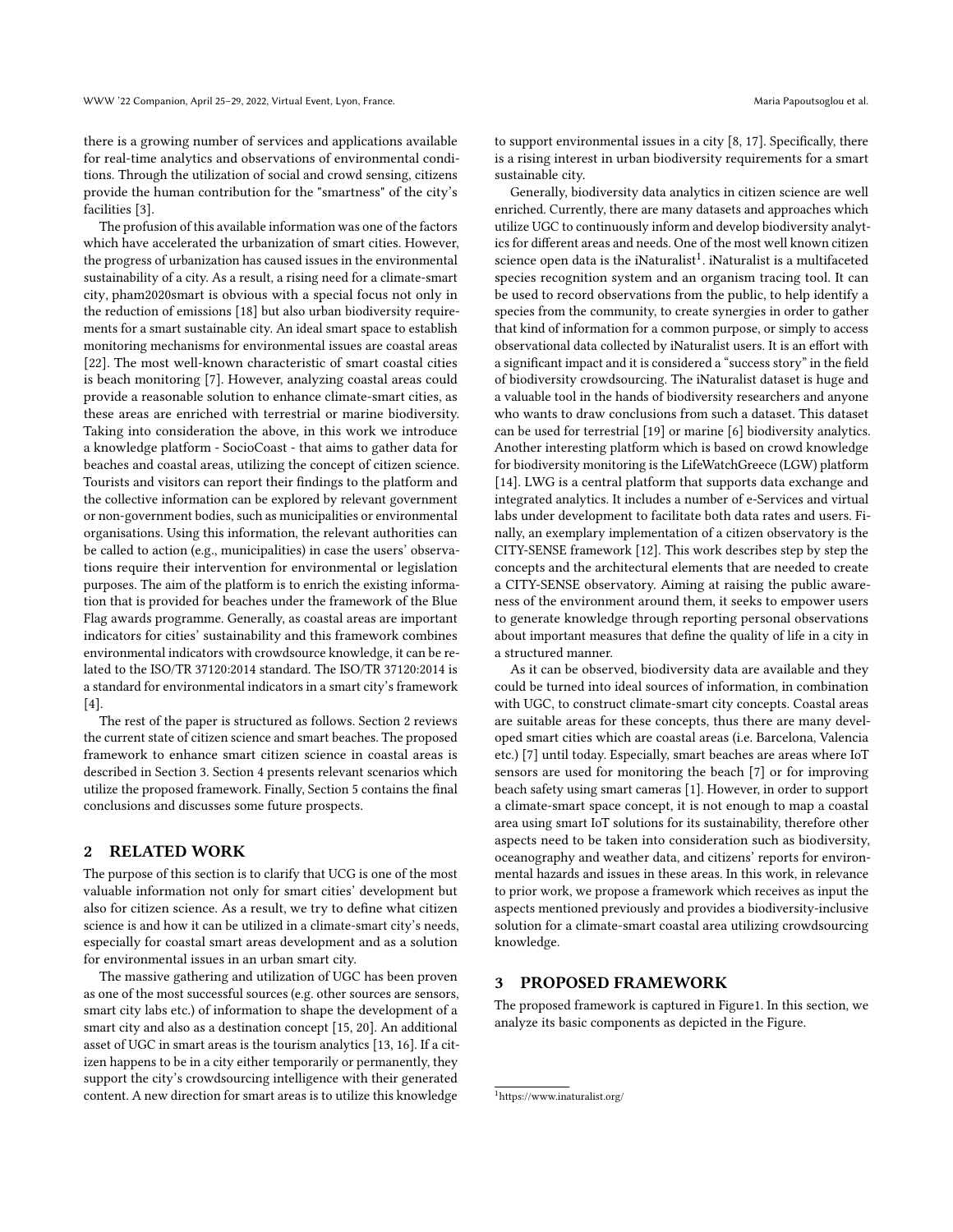there is a growing number of services and applications available for real-time analytics and observations of environmental conditions. Through the utilization of social and crowd sensing, citizens provide the human contribution for the "smartness" of the city's facilities [\[3\]](#page-4-2).

The profusion of this available information was one of the factors which have accelerated the urbanization of smart cities. However, the progress of urbanization has caused issues in the environmental sustainability of a city. As a result, a rising need for a climate-smart city, pham2020smart is obvious with a special focus not only in the reduction of emissions [\[18\]](#page-5-6) but also urban biodiversity requirements for a smart sustainable city. An ideal smart space to establish monitoring mechanisms for environmental issues are coastal areas [\[22\]](#page-5-7). The most well-known characteristic of smart coastal cities is beach monitoring [\[7\]](#page-4-3). However, analyzing coastal areas could provide a reasonable solution to enhance climate-smart cities, as these areas are enriched with terrestrial or marine biodiversity. Taking into consideration the above, in this work we introduce a knowledge platform - SocioCoast - that aims to gather data for beaches and coastal areas, utilizing the concept of citizen science. Tourists and visitors can report their findings to the platform and the collective information can be explored by relevant government or non-government bodies, such as municipalities or environmental organisations. Using this information, the relevant authorities can be called to action (e.g., municipalities) in case the users' observations require their intervention for environmental or legislation purposes. The aim of the platform is to enrich the existing information that is provided for beaches under the framework of the Blue Flag awards programme. Generally, as coastal areas are important indicators for cities' sustainability and this framework combines environmental indicators with crowdsource knowledge, it can be related to the ISO/TR 37120:2014 standard. The ISO/TR 37120:2014 is a standard for environmental indicators in a smart city's framework [\[4\]](#page-4-4).

The rest of the paper is structured as follows. Section 2 reviews the current state of citizen science and smart beaches. The proposed framework to enhance smart citizen science in coastal areas is described in Section 3. Section 4 presents relevant scenarios which utilize the proposed framework. Finally, Section 5 contains the final conclusions and discusses some future prospects.

# 2 RELATED WORK

The purpose of this section is to clarify that UCG is one of the most valuable information not only for smart cities' development but also for citizen science. As a result, we try to define what citizen science is and how it can be utilized in a climate-smart city's needs, especially for coastal smart areas development and as a solution for environmental issues in an urban smart city.

The massive gathering and utilization of UGC has been proven as one of the most successful sources (e.g. other sources are sensors, smart city labs etc.) of information to shape the development of a smart city and also as a destination concept [\[15,](#page-5-8) [20\]](#page-5-9). An additional asset of UGC in smart areas is the tourism analytics [\[13,](#page-5-10) [16\]](#page-5-11). If a citizen happens to be in a city either temporarily or permanently, they support the city's crowdsourcing intelligence with their generated content. A new direction for smart areas is to utilize this knowledge

to support environmental issues in a city [\[8,](#page-5-12) [17\]](#page-5-13). Specifically, there is a rising interest in urban biodiversity requirements for a smart sustainable city.

Generally, biodiversity data analytics in citizen science are well enriched. Currently, there are many datasets and approaches which utilize UGC to continuously inform and develop biodiversity analytics for different areas and needs. One of the most well known citizen science open data is the iNaturalist<sup>[1](#page-1-0)</sup>. iNaturalist is a multifaceted species recognition system and an organism tracing tool. It can be used to record observations from the public, to help identify a species from the community, to create synergies in order to gather that kind of information for a common purpose, or simply to access observational data collected by iNaturalist users. It is an effort with a significant impact and it is considered a "success story" in the field of biodiversity crowdsourcing. The iNaturalist dataset is huge and a valuable tool in the hands of biodiversity researchers and anyone who wants to draw conclusions from such a dataset. This dataset can be used for terrestrial [\[19\]](#page-5-14) or marine [\[6\]](#page-4-5) biodiversity analytics. Another interesting platform which is based on crowd knowledge for biodiversity monitoring is the LifeWatchGreece (LGW) platform [\[14\]](#page-5-15). LWG is a central platform that supports data exchange and integrated analytics. It includes a number of e-Services and virtual labs under development to facilitate both data rates and users. Finally, an exemplary implementation of a citizen observatory is the CITY-SENSE framework [\[12\]](#page-5-16). This work describes step by step the concepts and the architectural elements that are needed to create a CITY-SENSE observatory. Aiming at raising the public awareness of the environment around them, it seeks to empower users to generate knowledge through reporting personal observations about important measures that define the quality of life in a city in a structured manner.

As it can be observed, biodiversity data are available and they could be turned into ideal sources of information, in combination with UGC, to construct climate-smart city concepts. Coastal areas are suitable areas for these concepts, thus there are many developed smart cities which are coastal areas (i.e. Barcelona, Valencia etc.) [\[7\]](#page-4-3) until today. Especially, smart beaches are areas where IoT sensors are used for monitoring the beach [\[7\]](#page-4-3) or for improving beach safety using smart cameras [\[1\]](#page-4-6). However, in order to support a climate-smart space concept, it is not enough to map a coastal area using smart IoT solutions for its sustainability, therefore other aspects need to be taken into consideration such as biodiversity, oceanography and weather data, and citizens' reports for environmental hazards and issues in these areas. In this work, in relevance to prior work, we propose a framework which receives as input the aspects mentioned previously and provides a biodiversity-inclusive solution for a climate-smart coastal area utilizing crowdsourcing knowledge.

# 3 PROPOSED FRAMEWORK

The proposed framework is captured in Figur[e1.](#page-2-0) In this section, we analyze its basic components as depicted in the Figure.

<span id="page-1-0"></span><sup>1</sup><https://www.inaturalist.org/>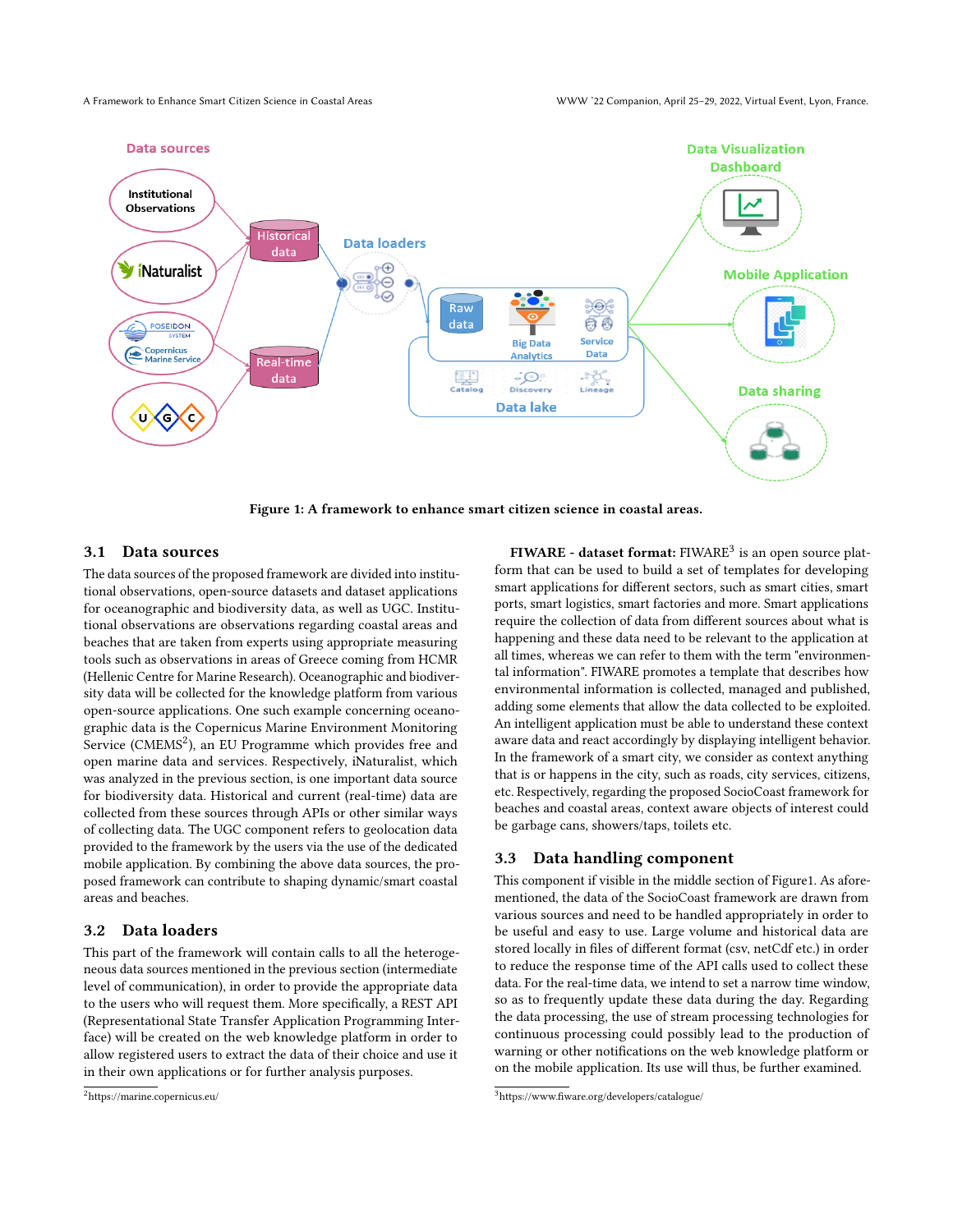<span id="page-2-0"></span>

Figure 1: A framework to enhance smart citizen science in coastal areas.

## 3.1 Data sources

The data sources of the proposed framework are divided into institutional observations, open-source datasets and dataset applications for oceanographic and biodiversity data, as well as UGC. Institutional observations are observations regarding coastal areas and beaches that are taken from experts using appropriate measuring tools such as observations in areas of Greece coming from HCMR (Hellenic Centre for Marine Research). Oceanographic and biodiversity data will be collected for the knowledge platform from various open-source applications. One such example concerning oceanographic data is the Copernicus Marine Environment Monitoring Service (CMEMS<sup>[2](#page-2-1)</sup>), an EU Programme which provides free and open marine data and services. Respectively, iNaturalist, which was analyzed in the previous section, is one important data source for biodiversity data. Historical and current (real-time) data are collected from these sources through APIs or other similar ways of collecting data. The UGC component refers to geolocation data provided to the framework by the users via the use of the dedicated mobile application. By combining the above data sources, the proposed framework can contribute to shaping dynamic/smart coastal areas and beaches.

## 3.2 Data loaders

This part of the framework will contain calls to all the heterogeneous data sources mentioned in the previous section (intermediate level of communication), in order to provide the appropriate data to the users who will request them. More specifically, a REST API (Representational State Transfer Application Programming Interface) will be created on the web knowledge platform in order to allow registered users to extract the data of their choice and use it in their own applications or for further analysis purposes.

 $\bf{FIWARE}$  - dataset format:  $\rm{FIWARE^3}$  $\rm{FIWARE^3}$  $\rm{FIWARE^3}$  is an open source platform that can be used to build a set of templates for developing smart applications for different sectors, such as smart cities, smart ports, smart logistics, smart factories and more. Smart applications require the collection of data from different sources about what is happening and these data need to be relevant to the application at all times, whereas we can refer to them with the term "environmental information". FIWARE promotes a template that describes how environmental information is collected, managed and published, adding some elements that allow the data collected to be exploited. An intelligent application must be able to understand these context aware data and react accordingly by displaying intelligent behavior. In the framework of a smart city, we consider as context anything that is or happens in the city, such as roads, city services, citizens, etc. Respectively, regarding the proposed SocioCoast framework for beaches and coastal areas, context aware objects of interest could be garbage cans, showers/taps, toilets etc.

#### 3.3 Data handling component

This component if visible in the middle section of Figur[e1.](#page-2-0) As aforementioned, the data of the SocioCoast framework are drawn from various sources and need to be handled appropriately in order to be useful and easy to use. Large volume and historical data are stored locally in files of different format (csv, netCdf etc.) in order to reduce the response time of the API calls used to collect these data. For the real-time data, we intend to set a narrow time window, so as to frequently update these data during the day. Regarding the data processing, the use of stream processing technologies for continuous processing could possibly lead to the production of warning or other notifications on the web knowledge platform or on the mobile application. Its use will thus, be further examined.

<span id="page-2-1"></span><sup>2</sup><https://marine.copernicus.eu/>

<span id="page-2-2"></span><sup>3</sup><https://www.fiware.org/developers/catalogue/>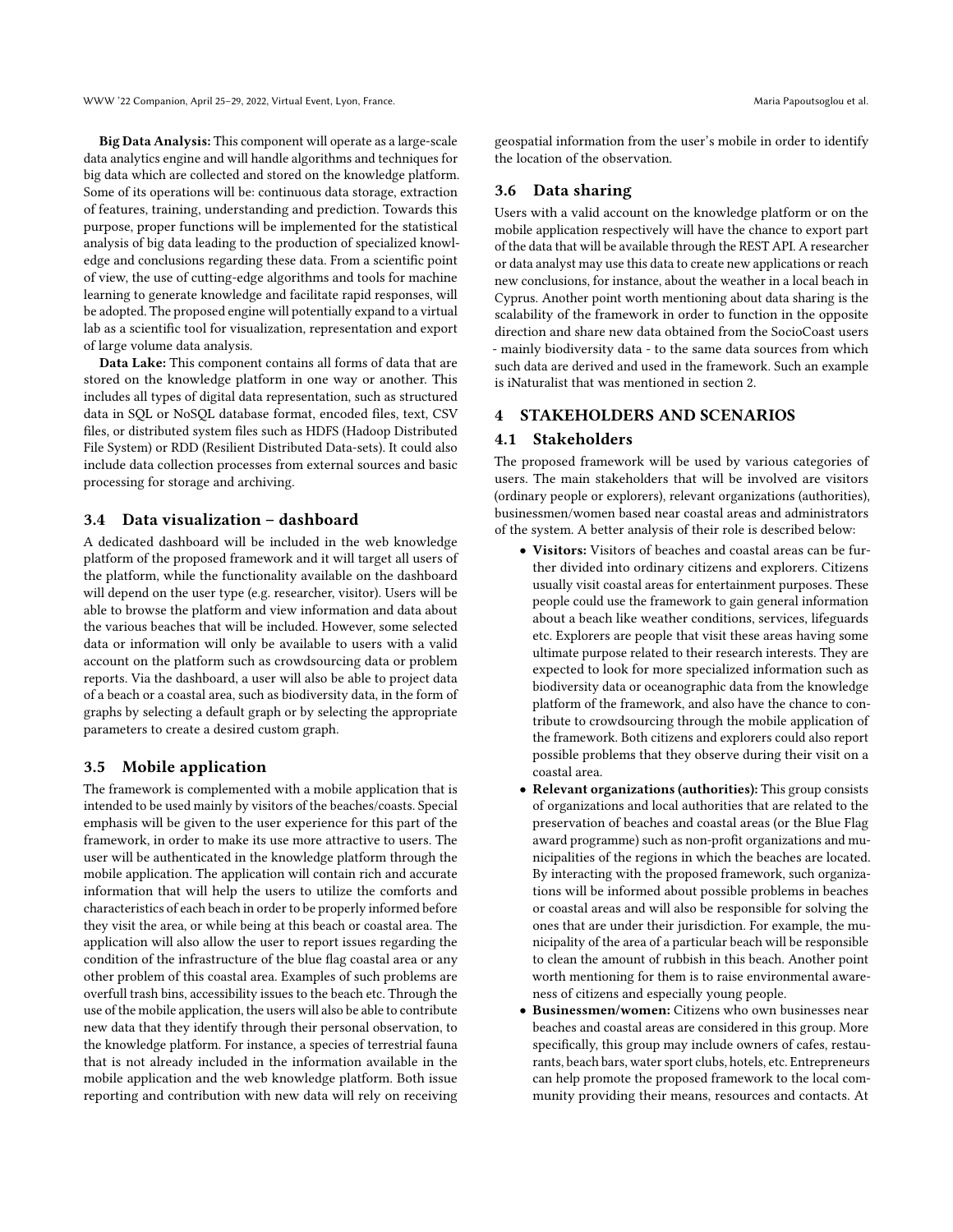Big Data Analysis: This component will operate as a large-scale data analytics engine and will handle algorithms and techniques for big data which are collected and stored on the knowledge platform. Some of its operations will be: continuous data storage, extraction of features, training, understanding and prediction. Towards this purpose, proper functions will be implemented for the statistical analysis of big data leading to the production of specialized knowledge and conclusions regarding these data. From a scientific point of view, the use of cutting-edge algorithms and tools for machine learning to generate knowledge and facilitate rapid responses, will be adopted. The proposed engine will potentially expand to a virtual lab as a scientific tool for visualization, representation and export of large volume data analysis.

Data Lake: This component contains all forms of data that are stored on the knowledge platform in one way or another. This includes all types of digital data representation, such as structured data in SQL or NoSQL database format, encoded files, text, CSV files, or distributed system files such as HDFS (Hadoop Distributed File System) or RDD (Resilient Distributed Data-sets). It could also include data collection processes from external sources and basic processing for storage and archiving.

### 3.4 Data visualization – dashboard

A dedicated dashboard will be included in the web knowledge platform of the proposed framework and it will target all users of the platform, while the functionality available on the dashboard will depend on the user type (e.g. researcher, visitor). Users will be able to browse the platform and view information and data about the various beaches that will be included. However, some selected data or information will only be available to users with a valid account on the platform such as crowdsourcing data or problem reports. Via the dashboard, a user will also be able to project data of a beach or a coastal area, such as biodiversity data, in the form of graphs by selecting a default graph or by selecting the appropriate parameters to create a desired custom graph.

# 3.5 Mobile application

The framework is complemented with a mobile application that is intended to be used mainly by visitors of the beaches/coasts. Special emphasis will be given to the user experience for this part of the framework, in order to make its use more attractive to users. The user will be authenticated in the knowledge platform through the mobile application. The application will contain rich and accurate information that will help the users to utilize the comforts and characteristics of each beach in order to be properly informed before they visit the area, or while being at this beach or coastal area. The application will also allow the user to report issues regarding the condition of the infrastructure of the blue flag coastal area or any other problem of this coastal area. Examples of such problems are overfull trash bins, accessibility issues to the beach etc. Through the use of the mobile application, the users will also be able to contribute new data that they identify through their personal observation, to the knowledge platform. For instance, a species of terrestrial fauna that is not already included in the information available in the mobile application and the web knowledge platform. Both issue reporting and contribution with new data will rely on receiving

geospatial information from the user's mobile in order to identify the location of the observation.

## 3.6 Data sharing

Users with a valid account on the knowledge platform or on the mobile application respectively will have the chance to export part of the data that will be available through the REST API. A researcher or data analyst may use this data to create new applications or reach new conclusions, for instance, about the weather in a local beach in Cyprus. Another point worth mentioning about data sharing is the scalability of the framework in order to function in the opposite direction and share new data obtained from the SocioCoast users - mainly biodiversity data - to the same data sources from which such data are derived and used in the framework. Such an example is iNaturalist that was mentioned in section 2.

# 4 STAKEHOLDERS AND SCENARIOS

#### 4.1 Stakeholders

The proposed framework will be used by various categories of users. The main stakeholders that will be involved are visitors (ordinary people or explorers), relevant organizations (authorities), businessmen/women based near coastal areas and administrators of the system. A better analysis of their role is described below:

- Visitors: Visitors of beaches and coastal areas can be further divided into ordinary citizens and explorers. Citizens usually visit coastal areas for entertainment purposes. These people could use the framework to gain general information about a beach like weather conditions, services, lifeguards etc. Explorers are people that visit these areas having some ultimate purpose related to their research interests. They are expected to look for more specialized information such as biodiversity data or oceanographic data from the knowledge platform of the framework, and also have the chance to contribute to crowdsourcing through the mobile application of the framework. Both citizens and explorers could also report possible problems that they observe during their visit on a coastal area.
- Relevant organizations (authorities): This group consists of organizations and local authorities that are related to the preservation of beaches and coastal areas (or the Blue Flag award programme) such as non-profit organizations and municipalities of the regions in which the beaches are located. By interacting with the proposed framework, such organizations will be informed about possible problems in beaches or coastal areas and will also be responsible for solving the ones that are under their jurisdiction. For example, the municipality of the area of a particular beach will be responsible to clean the amount of rubbish in this beach. Another point worth mentioning for them is to raise environmental awareness of citizens and especially young people.
- Businessmen/women: Citizens who own businesses near beaches and coastal areas are considered in this group. More specifically, this group may include owners of cafes, restaurants, beach bars, water sport clubs, hotels, etc. Entrepreneurs can help promote the proposed framework to the local community providing their means, resources and contacts. At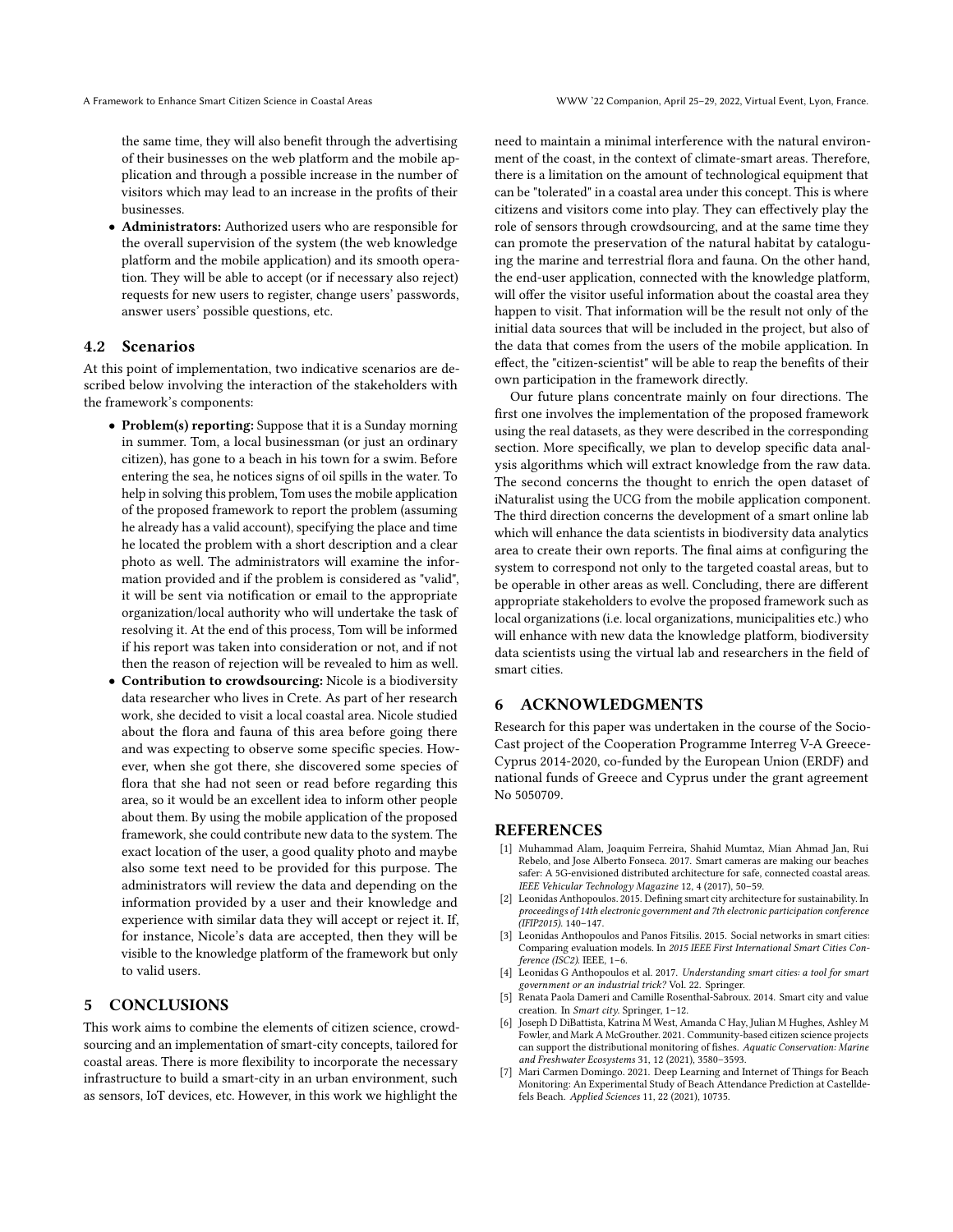the same time, they will also benefit through the advertising of their businesses on the web platform and the mobile application and through a possible increase in the number of visitors which may lead to an increase in the profits of their businesses.

• Administrators: Authorized users who are responsible for the overall supervision of the system (the web knowledge platform and the mobile application) and its smooth operation. They will be able to accept (or if necessary also reject) requests for new users to register, change users' passwords, answer users' possible questions, etc.

## 4.2 Scenarios

At this point of implementation, two indicative scenarios are described below involving the interaction of the stakeholders with the framework's components:

- Problem(s) reporting: Suppose that it is a Sunday morning in summer. Tom, a local businessman (or just an ordinary citizen), has gone to a beach in his town for a swim. Before entering the sea, he notices signs of oil spills in the water. To help in solving this problem, Tom uses the mobile application of the proposed framework to report the problem (assuming he already has a valid account), specifying the place and time he located the problem with a short description and a clear photo as well. The administrators will examine the information provided and if the problem is considered as "valid", it will be sent via notification or email to the appropriate organization/local authority who will undertake the task of resolving it. At the end of this process, Tom will be informed if his report was taken into consideration or not, and if not then the reason of rejection will be revealed to him as well.
- Contribution to crowdsourcing: Nicole is a biodiversity data researcher who lives in Crete. As part of her research work, she decided to visit a local coastal area. Nicole studied about the flora and fauna of this area before going there and was expecting to observe some specific species. However, when she got there, she discovered some species of flora that she had not seen or read before regarding this area, so it would be an excellent idea to inform other people about them. By using the mobile application of the proposed framework, she could contribute new data to the system. The exact location of the user, a good quality photo and maybe also some text need to be provided for this purpose. The administrators will review the data and depending on the information provided by a user and their knowledge and experience with similar data they will accept or reject it. If, for instance, Nicole's data are accepted, then they will be visible to the knowledge platform of the framework but only to valid users.

# 5 CONCLUSIONS

This work aims to combine the elements of citizen science, crowdsourcing and an implementation of smart-city concepts, tailored for coastal areas. There is more flexibility to incorporate the necessary infrastructure to build a smart-city in an urban environment, such as sensors, IoT devices, etc. However, in this work we highlight the

need to maintain a minimal interference with the natural environment of the coast, in the context of climate-smart areas. Therefore, there is a limitation on the amount of technological equipment that can be "tolerated" in a coastal area under this concept. This is where citizens and visitors come into play. They can effectively play the role of sensors through crowdsourcing, and at the same time they can promote the preservation of the natural habitat by cataloguing the marine and terrestrial flora and fauna. On the other hand, the end-user application, connected with the knowledge platform, will offer the visitor useful information about the coastal area they happen to visit. That information will be the result not only of the initial data sources that will be included in the project, but also of the data that comes from the users of the mobile application. In effect, the "citizen-scientist" will be able to reap the benefits of their own participation in the framework directly.

Our future plans concentrate mainly on four directions. The first one involves the implementation of the proposed framework using the real datasets, as they were described in the corresponding section. More specifically, we plan to develop specific data analysis algorithms which will extract knowledge from the raw data. The second concerns the thought to enrich the open dataset of iNaturalist using the UCG from the mobile application component. The third direction concerns the development of a smart online lab which will enhance the data scientists in biodiversity data analytics area to create their own reports. The final aims at configuring the system to correspond not only to the targeted coastal areas, but to be operable in other areas as well. Concluding, there are different appropriate stakeholders to evolve the proposed framework such as local organizations (i.e. local organizations, municipalities etc.) who will enhance with new data the knowledge platform, biodiversity data scientists using the virtual lab and researchers in the field of smart cities.

# 6 ACKNOWLEDGMENTS

Research for this paper was undertaken in the course of the Socio-Cast project of the Cooperation Programme Interreg V-A Greece-Cyprus 2014-2020, co-funded by the European Union (ERDF) and national funds of Greece and Cyprus under the grant agreement No 5050709.

## **REFERENCES**

- <span id="page-4-6"></span>[1] Muhammad Alam, Joaquim Ferreira, Shahid Mumtaz, Mian Ahmad Jan, Rui Rebelo, and Jose Alberto Fonseca. 2017. Smart cameras are making our beaches safer: A 5G-envisioned distributed architecture for safe, connected coastal areas. IEEE Vehicular Technology Magazine 12, 4 (2017), 50–59.
- <span id="page-4-0"></span>[2] Leonidas Anthopoulos. 2015. Defining smart city architecture for sustainability. In proceedings of 14th electronic government and 7th electronic participation conference (IFIP2015). 140–147.
- <span id="page-4-2"></span>[3] Leonidas Anthopoulos and Panos Fitsilis. 2015. Social networks in smart cities: Comparing evaluation models. In 2015 IEEE First International Smart Cities Conference (ISC2). IEEE, 1–6.
- <span id="page-4-4"></span>[4] Leonidas G Anthopoulos et al. 2017. Understanding smart cities: a tool for smart government or an industrial trick? Vol. 22. Springer.
- <span id="page-4-1"></span>[5] Renata Paola Dameri and Camille Rosenthal-Sabroux. 2014. Smart city and value creation. In Smart city. Springer, 1–12.
- <span id="page-4-5"></span>[6] Joseph D DiBattista, Katrina M West, Amanda C Hay, Julian M Hughes, Ashley M Fowler, and Mark A McGrouther. 2021. Community-based citizen science projects can support the distributional monitoring of fishes. Aquatic Conservation: Marine and Freshwater Ecosystems 31, 12 (2021), 3580–3593.
- <span id="page-4-3"></span>[7] Mari Carmen Domingo. 2021. Deep Learning and Internet of Things for Beach Monitoring: An Experimental Study of Beach Attendance Prediction at Castelldefels Beach. Applied Sciences 11, 22 (2021), 10735.